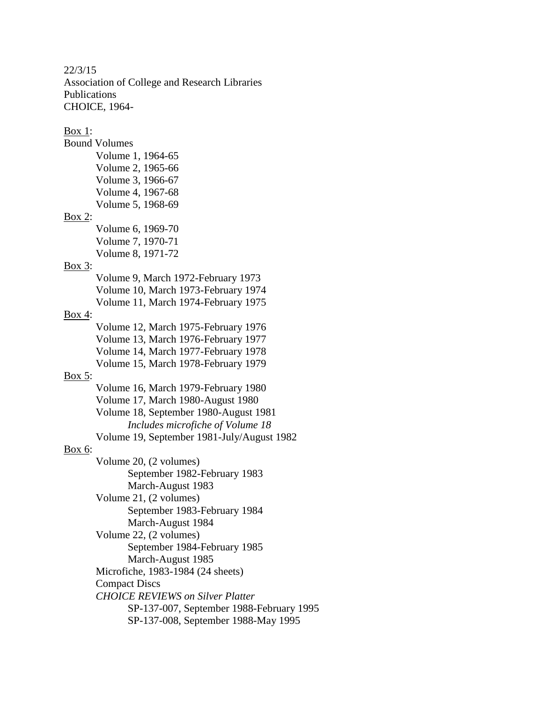22/3/15 Association of College and Research Libraries Publications CHOICE, 1964- Box 1: Bound Volumes Volume 1, 1964-65 Volume 2, 1965-66 Volume 3, 1966-67 Volume 4, 1967-68 Volume 5, 1968-69 Box 2: Volume 6, 1969-70 Volume 7, 1970-71 Volume 8, 1971-72 Box 3: Volume 9, March 1972-February 1973 Volume 10, March 1973-February 1974 Volume 11, March 1974-February 1975 Box 4: Volume 12, March 1975-February 1976 Volume 13, March 1976-February 1977 Volume 14, March 1977-February 1978 Volume 15, March 1978-February 1979 Box 5: Volume 16, March 1979-February 1980 Volume 17, March 1980-August 1980 Volume 18, September 1980-August 1981 *Includes microfiche of Volume 18* Volume 19, September 1981-July/August 1982 Box 6: Volume 20, (2 volumes) September 1982-February 1983 March-August 1983 Volume 21, (2 volumes) September 1983-February 1984 March-August 1984 Volume 22, (2 volumes) September 1984-February 1985 March-August 1985 Microfiche, 1983-1984 (24 sheets) Compact Discs *CHOICE REVIEWS on Silver Platter* SP-137-007, September 1988-February 1995

SP-137-008, September 1988-May 1995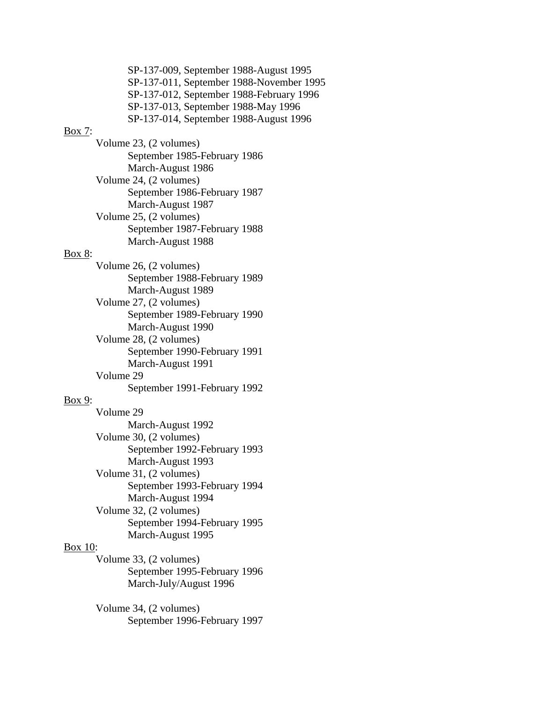SP-137-009, September 1988-August 1995 SP-137-011, September 1988-November 1995 SP-137-012, September 1988-February 1996 SP-137-013, September 1988-May 1996 SP-137-014, September 1988-August 1996

#### Box 7:

Volume 23, (2 volumes) September 1985-February 1986 March-August 1986 Volume 24, (2 volumes) September 1986-February 1987 March-August 1987 Volume 25, (2 volumes) September 1987-February 1988 March-August 1988

### Box 8:

Volume 26, (2 volumes) September 1988-February 1989 March-August 1989 Volume 27, (2 volumes) September 1989-February 1990 March-August 1990 Volume 28, (2 volumes) September 1990-February 1991 March-August 1991 Volume 29 September 1991-February 1992

### Box 9:

Volume 29 March-August 1992 Volume 30, (2 volumes) September 1992-February 1993 March-August 1993 Volume 31, (2 volumes) September 1993-February 1994 March-August 1994 Volume 32, (2 volumes) September 1994-February 1995 March-August 1995

### Box 10:

Volume 33, (2 volumes) September 1995-February 1996 March-July/August 1996

Volume 34, (2 volumes) September 1996-February 1997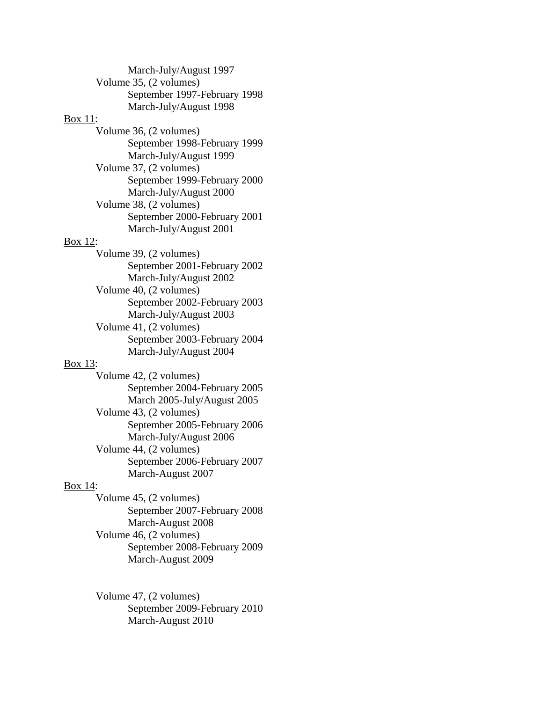| March-July/August 1997       |
|------------------------------|
| Volume 35, (2 volumes)       |
| September 1997-February 1998 |
| March-July/August 1998       |
| Box 11:                      |
| Volume 36, (2 volumes)       |
| September 1998-February 1999 |
| March-July/August 1999       |
| Volume 37, (2 volumes)       |
| September 1999-February 2000 |
| March-July/August 2000       |
| Volume 38, (2 volumes)       |
| September 2000-February 2001 |
| March-July/August 2001       |
| <b>Box 12:</b>               |
| Volume 39, (2 volumes)       |
| September 2001-February 2002 |
| March-July/August 2002       |
| Volume 40, (2 volumes)       |
| September 2002-February 2003 |
| March-July/August 2003       |
| Volume 41, (2 volumes)       |
| September 2003-February 2004 |
| March-July/August 2004       |
| Box 13:                      |
| Volume 42, (2 volumes)       |
| September 2004-February 2005 |
| March 2005-July/August 2005  |
| Volume 43, (2 volumes)       |
| September 2005-February 2006 |
| March-July/August 2006       |
| Volume 44, (2 volumes)       |
| September 2006-February 2007 |
| March-August 2007            |
| Box 14:                      |
| Volume 45, (2 volumes)       |

September 2007-February 2008 March-August 2008 Volume 46, (2 volumes) September 2008-February 2009 March-August 2009

## Volume 47, (2 volumes) September 2009-February 2010 March-August 2010